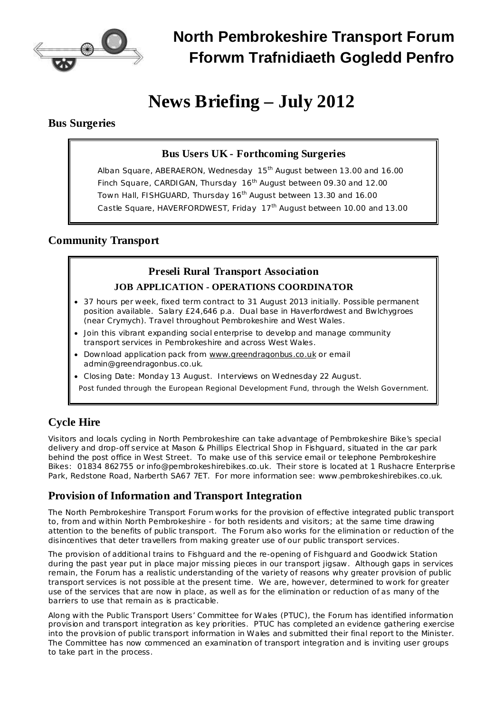

# **News Briefing – July 2012**

#### **Bus Surgeries**

## **Bus Users UK - Forthcoming Surgeries**

Alban Square, ABERAERON, Wednesday 15<sup>th</sup> August between 13.00 and 16.00 Finch Square, CARDIGAN, Thursday 16<sup>th</sup> August between 09.30 and 12.00 Town Hall, FISHGUARD, Thursday 16<sup>th</sup> August between 13.30 and 16.00 Castle Square, HAVERFORDWEST, Friday 17<sup>th</sup> August between 10.00 and 13.00

## **Community Transport**

# **Preseli Rural Transport Association JOB APPLICATION - OPERATIONS COORDINATOR**

- · 37 hours per week, fixed term contract to 31 August 2013 initially. Possible permanent position available. Salary £24,646 p.a. Dual base in Haverfordwest and Bwlchygroes (near Crymych). Travel throughout Pembrokeshire and West Wales.
- · Join this vibrant expanding social enterprise to develop and manage community transport services in Pembrokeshire and across West Wales.
- Download application pack from [www.greendragonbus.co.uk](http://www.greendragonbus.co.uk/) or email [admin@greendragonbus.co.uk.](mailto:admin@greendragonbus.co.uk)
- · Closing Date: Monday 13 August. Interviews on Wednesday 22 August.

Post funded through the European Regional Development Fund, through the Welsh Government.

## **Cycle Hire**

Visitors and locals cycling in North Pembrokeshire can take advantage of Pembrokeshire Bike's special delivery and drop-off service at Mason & Phillips Electrical Shop in Fishguard, situated in the car park behind the post office in West Street. To make use of this service email or telephone Pembrokeshire Bikes: 01834 862755 or [info@pembrokeshirebikes.co.uk.](mailto:info@pembrokeshirebikes.co.uk) Their store is located at 1 Rushacre Enterprise Park, Redstone Road, Narberth SA67 7ET. For more information see: [www.pembrokeshirebikes.co.uk.](http://www.pembrokeshirebikes.co.uk/)

### **Provision of Information and Transport Integration**

The North Pembrokeshire Transport Forum works for the provision of effective integrated public transport to, from and within North Pembrokeshire - for both residents and visitors; at the same time drawing attention to the benefits of public transport. The Forum also works for the elimination or reduction of the disincentives that deter travellers from making greater use of our public transport services.

The provision of additional trains to Fishguard and the re-opening of Fishguard and Goodwick Station during the past year put in place major missing pieces in our transport jigsaw. Although gaps in services remain, the Forum has a realistic understanding of the variety of reasons why greater provision of public transport services is not possible at the present time. We are, however, determined to work for greater use of the services that are now in place, as well as for the elimination or reduction of as many of the barriers to use that remain as is practicable.

Along with the Public Transport Users' Committee for Wales (PTUC), the Forum has identified information provision and transport integration as key priorities. PTUC has completed an evidence gathering exercise into the provision of public transport information in Wales and submitted their final report to the Minister. The Committee has now commenced an examination of transport integration and is inviting user groups to take part in the process.